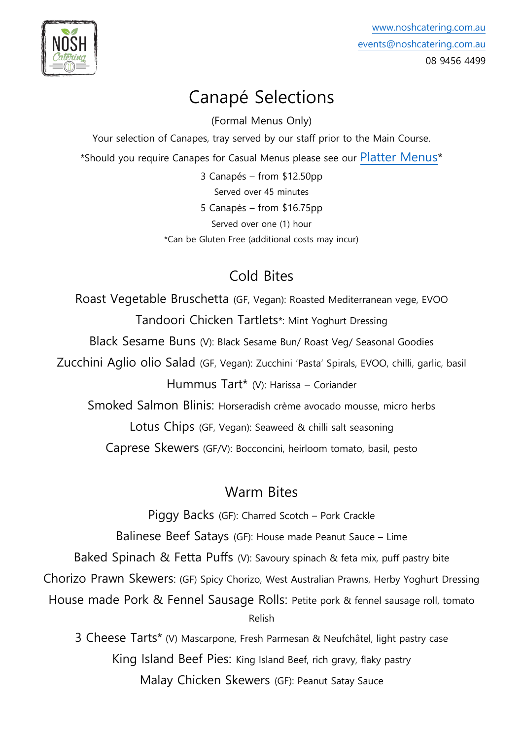

[www.noshcatering.com.au](http://www.noshcatering.com.au/) [events@noshcatering.com.au](mailto:events@noshcatering.com.au) 08 9456 4499

## Canapé Selections

(Formal Menus Only) Your selection of Canapes, tray served by our staff prior to the Main Course. \*Should you require Canapes for Casual Menus please see our [Platter Menus](https://www.noshcatering.com.au/platters/)\* 3 Canapés – from \$12.50pp Served over 45 minutes 5 Canapés – from \$16.75pp Served over one (1) hour \*Can be Gluten Free (additional costs may incur)

## Cold Bites

Roast Vegetable Bruschetta (GF, Vegan): Roasted Mediterranean vege, EVOO Tandoori Chicken Tartlets\*: Mint Yoghurt Dressing Black Sesame Buns (V): Black Sesame Bun/ Roast Veg/ Seasonal Goodies Zucchini Aglio olio Salad (GF, Vegan): Zucchini 'Pasta' Spirals, EVOO, chilli, garlic, basil Hummus Tart\* (V): Harissa – Coriander Smoked Salmon Blinis: Horseradish crème avocado mousse, micro herbs Lotus Chips (GF, Vegan): Seaweed & chilli salt seasoning Caprese Skewers (GF/V): Bocconcini, heirloom tomato, basil, pesto

## Warm Bites

Piggy Backs (GF): Charred Scotch – Pork Crackle Balinese Beef Satays (GF): House made Peanut Sauce – Lime Baked Spinach & Fetta Puffs (V): Savoury spinach & feta mix, puff pastry bite Chorizo Prawn Skewers: (GF) Spicy Chorizo, West Australian Prawns, Herby Yoghurt Dressing House made Pork & Fennel Sausage Rolls: Petite pork & fennel sausage roll, tomato Relish 3 Cheese Tarts\* (V) Mascarpone, Fresh Parmesan & Neufchâtel, light pastry case King Island Beef Pies: King Island Beef, rich gravy, flaky pastry Malay Chicken Skewers (GF): Peanut Satay Sauce